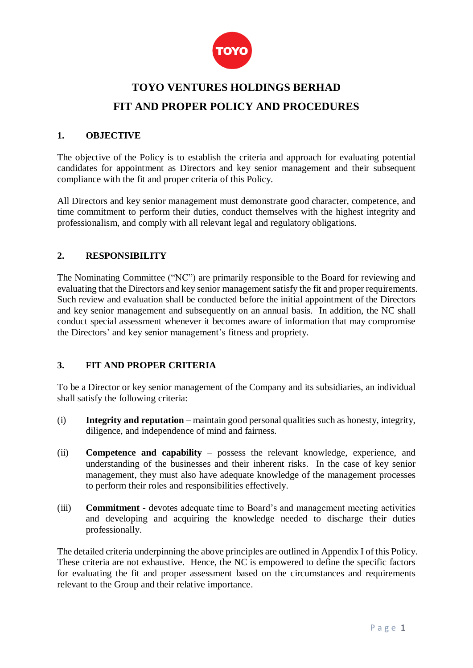

## **TOYO VENTURES HOLDINGS BERHAD FIT AND PROPER POLICY AND PROCEDURES**

## **1. OBJECTIVE**

The objective of the Policy is to establish the criteria and approach for evaluating potential candidates for appointment as Directors and key senior management and their subsequent compliance with the fit and proper criteria of this Policy.

All Directors and key senior management must demonstrate good character, competence, and time commitment to perform their duties, conduct themselves with the highest integrity and professionalism, and comply with all relevant legal and regulatory obligations.

## **2. RESPONSIBILITY**

The Nominating Committee ("NC") are primarily responsible to the Board for reviewing and evaluating that the Directors and key senior management satisfy the fit and proper requirements. Such review and evaluation shall be conducted before the initial appointment of the Directors and key senior management and subsequently on an annual basis. In addition, the NC shall conduct special assessment whenever it becomes aware of information that may compromise the Directors' and key senior management's fitness and propriety.

## **3. FIT AND PROPER CRITERIA**

To be a Director or key senior management of the Company and its subsidiaries, an individual shall satisfy the following criteria:

- (i) **Integrity and reputation** maintain good personal qualities such as honesty, integrity, diligence, and independence of mind and fairness.
- (ii) **Competence and capability** possess the relevant knowledge, experience, and understanding of the businesses and their inherent risks. In the case of key senior management, they must also have adequate knowledge of the management processes to perform their roles and responsibilities effectively.
- (iii) **Commitment -** devotes adequate time to Board's and management meeting activities and developing and acquiring the knowledge needed to discharge their duties professionally.

The detailed criteria underpinning the above principles are outlined in Appendix I of this Policy. These criteria are not exhaustive. Hence, the NC is empowered to define the specific factors for evaluating the fit and proper assessment based on the circumstances and requirements relevant to the Group and their relative importance.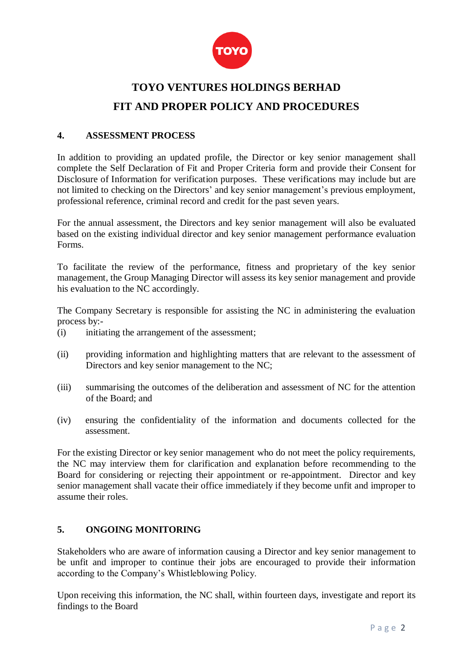

# **TOYO VENTURES HOLDINGS BERHAD FIT AND PROPER POLICY AND PROCEDURES**

### **4. ASSESSMENT PROCESS**

In addition to providing an updated profile, the Director or key senior management shall complete the Self Declaration of Fit and Proper Criteria form and provide their Consent for Disclosure of Information for verification purposes. These verifications may include but are not limited to checking on the Directors' and key senior management's previous employment, professional reference, criminal record and credit for the past seven years.

For the annual assessment, the Directors and key senior management will also be evaluated based on the existing individual director and key senior management performance evaluation Forms.

To facilitate the review of the performance, fitness and proprietary of the key senior management, the Group Managing Director will assess its key senior management and provide his evaluation to the NC accordingly.

The Company Secretary is responsible for assisting the NC in administering the evaluation process by:-

- (i) initiating the arrangement of the assessment;
- (ii) providing information and highlighting matters that are relevant to the assessment of Directors and key senior management to the NC;
- (iii) summarising the outcomes of the deliberation and assessment of NC for the attention of the Board; and
- (iv) ensuring the confidentiality of the information and documents collected for the assessment.

For the existing Director or key senior management who do not meet the policy requirements, the NC may interview them for clarification and explanation before recommending to the Board for considering or rejecting their appointment or re-appointment. Director and key senior management shall vacate their office immediately if they become unfit and improper to assume their roles.

## **5. ONGOING MONITORING**

Stakeholders who are aware of information causing a Director and key senior management to be unfit and improper to continue their jobs are encouraged to provide their information according to the Company's Whistleblowing Policy.

Upon receiving this information, the NC shall, within fourteen days, investigate and report its findings to the Board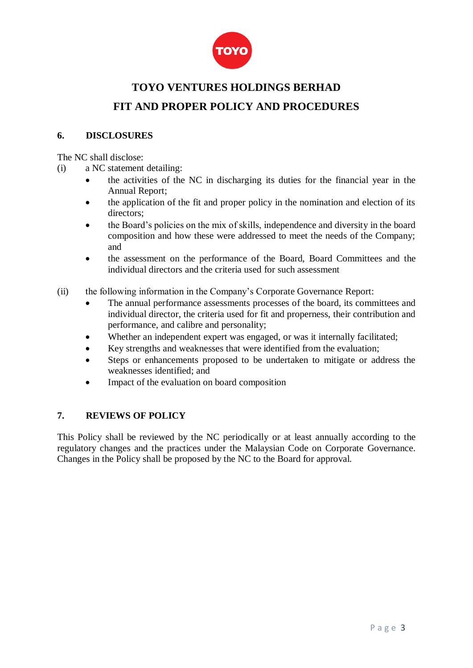

# **TOYO VENTURES HOLDINGS BERHAD FIT AND PROPER POLICY AND PROCEDURES**

## **6. DISCLOSURES**

The NC shall disclose:

- (i) a NC statement detailing:
	- the activities of the NC in discharging its duties for the financial year in the Annual Report;
	- the application of the fit and proper policy in the nomination and election of its directors;
	- the Board's policies on the mix of skills, independence and diversity in the board composition and how these were addressed to meet the needs of the Company; and
	- the assessment on the performance of the Board, Board Committees and the individual directors and the criteria used for such assessment
- (ii) the following information in the Company's Corporate Governance Report:
	- The annual performance assessments processes of the board, its committees and individual director, the criteria used for fit and properness, their contribution and performance, and calibre and personality;
	- Whether an independent expert was engaged, or was it internally facilitated;
	- Key strengths and weaknesses that were identified from the evaluation;
	- Steps or enhancements proposed to be undertaken to mitigate or address the weaknesses identified; and
	- Impact of the evaluation on board composition

## **7. REVIEWS OF POLICY**

This Policy shall be reviewed by the NC periodically or at least annually according to the regulatory changes and the practices under the Malaysian Code on Corporate Governance. Changes in the Policy shall be proposed by the NC to the Board for approval.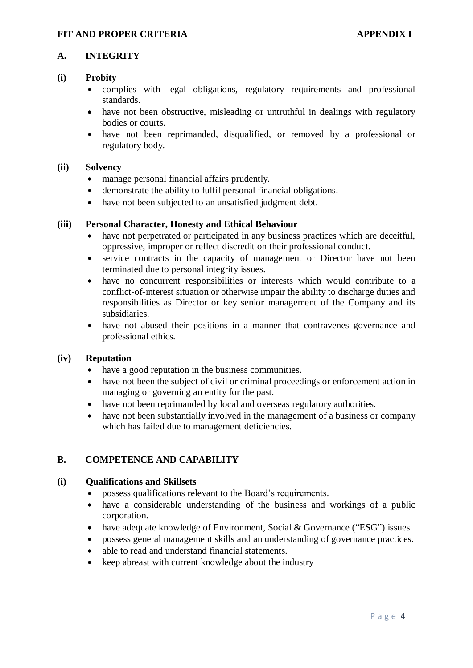### **A. INTEGRITY**

#### **(i) Probity**

- complies with legal obligations, regulatory requirements and professional standards.
- have not been obstructive, misleading or untruthful in dealings with regulatory bodies or courts.
- have not been reprimanded, disqualified, or removed by a professional or regulatory body.

### **(ii) Solvency**

- manage personal financial affairs prudently.
- demonstrate the ability to fulfil personal financial obligations.
- have not been subjected to an unsatisfied judgment debt.

### **(iii) Personal Character, Honesty and Ethical Behaviour**

- have not perpetrated or participated in any business practices which are deceitful, oppressive, improper or reflect discredit on their professional conduct.
- service contracts in the capacity of management or Director have not been terminated due to personal integrity issues.
- have no concurrent responsibilities or interests which would contribute to a conflict-of-interest situation or otherwise impair the ability to discharge duties and responsibilities as Director or key senior management of the Company and its subsidiaries.
- have not abused their positions in a manner that contravenes governance and professional ethics.

#### **(iv) Reputation**

- have a good reputation in the business communities.
- have not been the subject of civil or criminal proceedings or enforcement action in managing or governing an entity for the past.
- have not been reprimanded by local and overseas regulatory authorities.
- have not been substantially involved in the management of a business or company which has failed due to management deficiencies.

## **B. COMPETENCE AND CAPABILITY**

#### **(i) Qualifications and Skillsets**

- possess qualifications relevant to the Board's requirements.
- have a considerable understanding of the business and workings of a public corporation.
- have adequate knowledge of Environment, Social & Governance ("ESG") issues.
- possess general management skills and an understanding of governance practices.
- able to read and understand financial statements.
- keep abreast with current knowledge about the industry